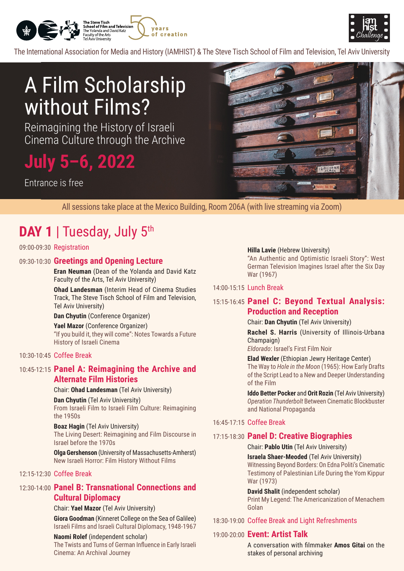



The International Association for Media and History (IAMHIST) & The Steve Tisch School of Film and Television. Tel Aviv University

# A Film Scholarship without Films?

Reimagining the History of Israeli Cinema Culture through the Archive

# July 5-6, 2022

Fntrance is free



All sessions take place at the Mexico Building, Room 206A (with live streaming via Zoom)

# **DAY 1 | Tuesday, July 5th**

# 09:00-09:30 Registration

# **Lecture Opening and Greetings** 09:30-10:30

**Eran Neuman** (Dean of the Yolanda and David Katz Faculty of the Arts, Tel Aviv University)

**Ohad Landesman** (Interim Head of Cinema Studies) Track. The Steve Tisch School of Film and Television. Tel Aviv University)

#### **Dan Chyutin (Conference Organizer)**

Yael Mazor (Conference Organizer) "If you build it, they will come": Notes Towards a Future History of Israeli Cinema

# 10:30-10:45 Coffee Break

# 10:45-12:15 **Panel A: Reimagining the Archive and Alternate Film Histories**

#### Chair: Ohad Landesman (Tel Aviv University)

**Dan Chyutin** (Tel Aviv University)

From Israeli Film to Israeli Film Culture: Reimagining the  $1950s$ 

#### **Boaz Hagin** (Tel Aviv University)

The Living Desert: Reimagining and Film Discourse in Israel before the 1970s

**Olga Gershenson** (University of Massachusetts-Amherst) New Israeli Horror: Film History Without Films

# 12:15-12:30 Coffee Break

# **12:30-14:00 Panel B: Transnational Connections and Cultural Diplomacy**

Chair: Yael Mazor (Tel Aviv University) **Giora Goodman** (Kinneret College on the Sea of Galilee)

Israeli Films and Israeli Cultural Diplomacy, 1948-1967

# **Naomi Rolef** (independent scholar)

The Twists and Turns of German Influence in Early Israeli Cinema: An Archival Journey

#### **Hilla Lavie** (Hebrew University)

"An Authentic and Optimistic Israeli Story": West German Television Imagines Israel after the Six Day War (1967)

### 14:00-15:15 Lunch Break

# 15:15-16:45 Panel C: Beyond Textual Analysis: **Production and Reception**

#### Chair: Dan Chyutin (Tel Aviv University)

**Rachel S. Harris** (University of Illinois-Urbana (Champaign

Eldorado: Israel's First Film Noir

#### **Elad Wexler** (Ethiopian Jewry Heritage Center) The Way to *Hole in the Moon* (1965): How Early Drafts of the Script Lead to a New and Deeper Understanding of the Film

**Iddo Better Pocker and Orit Rozin (Tel Aviv University) Operation Thunderbolt Between Cinematic Blockbuster** and National Propaganda

# 16:45-17:15 Coffee Break

# **17:15-18:30 Panel D: Creative Biographies**

#### Chair: Pablo Utin (Tel Aviv University)

**Israela Shaer-Meoded (Tel Aviv University)** 

Witnessing Beyond Borders: On Edna Politi's Cinematic Testimony of Palestinian Life During the Yom Kippur War (1973)

**David Shalit** (independent scholar) Print My Legend: The Americanization of Menachem Golan

# 18:30-19:00 Coffee Break and Light Refreshments

# **19:00-20:00 Event: Artist Talk**

A conversation with filmmaker Amos Gitai on the stakes of personal archiving